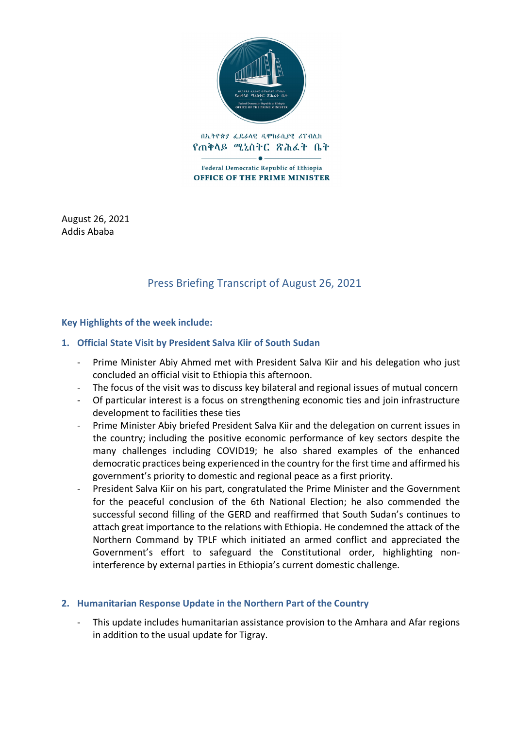

በኢትዮጵያ ፌዴራላዊ ዲሞክራሲያዊ ሪፐብሊክ የጠቅላይ ሚኒስትር ጽሕፈት ቤት

Federal Democratic Republic of Ethiopia **OFFICE OF THE PRIME MINISTER** 

August 26, 2021 Addis Ababa

# Press Briefing Transcript of August 26, 2021

#### **Key Highlights of the week include:**

#### **1. Official State Visit by President Salva Kiir of South Sudan**

- Prime Minister Abiy Ahmed met with President Salva Kiir and his delegation who just concluded an official visit to Ethiopia this afternoon.
- The focus of the visit was to discuss key bilateral and regional issues of mutual concern
- Of particular interest is a focus on strengthening economic ties and join infrastructure development to facilities these ties
- Prime Minister Abiy briefed President Salva Kiir and the delegation on current issues in the country; including the positive economic performance of key sectors despite the many challenges including COVID19; he also shared examples of the enhanced democratic practices being experienced in the country for the first time and affirmed his government's priority to domestic and regional peace as a first priority.
- President Salva Kiir on his part, congratulated the Prime Minister and the Government for the peaceful conclusion of the 6th National Election; he also commended the successful second filling of the GERD and reaffirmed that South Sudan's continues to attach great importance to the relations with Ethiopia. He condemned the attack of the Northern Command by TPLF which initiated an armed conflict and appreciated the Government's effort to safeguard the Constitutional order, highlighting noninterference by external parties in Ethiopia's current domestic challenge.

#### **2. Humanitarian Response Update in the Northern Part of the Country**

- This update includes humanitarian assistance provision to the Amhara and Afar regions in addition to the usual update for Tigray.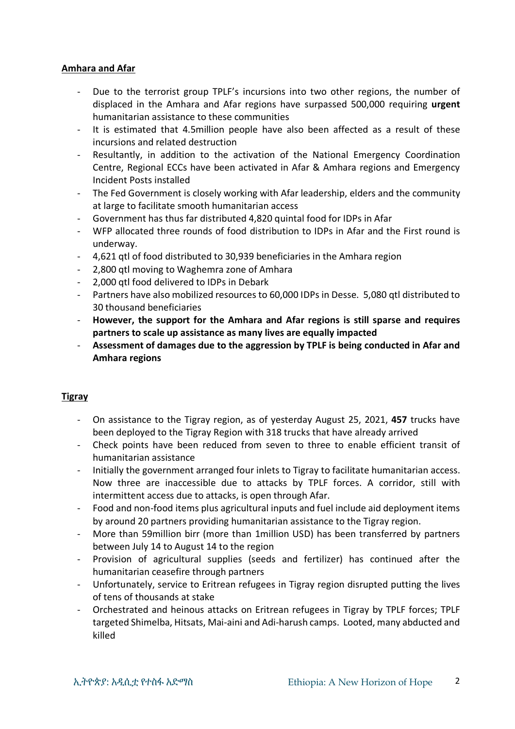#### **Amhara and Afar**

- Due to the terrorist group TPLF's incursions into two other regions, the number of displaced in the Amhara and Afar regions have surpassed 500,000 requiring **urgent** humanitarian assistance to these communities
- It is estimated that 4.5million people have also been affected as a result of these incursions and related destruction
- Resultantly, in addition to the activation of the National Emergency Coordination Centre, Regional ECCs have been activated in Afar & Amhara regions and Emergency Incident Posts installed
- The Fed Government is closely working with Afar leadership, elders and the community at large to facilitate smooth humanitarian access
- Government has thus far distributed 4,820 quintal food for IDPs in Afar
- WFP allocated three rounds of food distribution to IDPs in Afar and the First round is underway.
- 4,621 qtl of food distributed to 30,939 beneficiaries in the Amhara region
- 2,800 qtl moving to Waghemra zone of Amhara
- 2,000 qtl food delivered to IDPs in Debark
- Partners have also mobilized resources to 60,000 IDPs in Desse. 5,080 qtl distributed to 30 thousand beneficiaries
- **However, the support for the Amhara and Afar regions is still sparse and requires partners to scale up assistance as many lives are equally impacted**
- **Assessment of damages due to the aggression by TPLF is being conducted in Afar and Amhara regions**

## **Tigray**

- On assistance to the Tigray region, as of yesterday August 25, 2021, **457** trucks have been deployed to the Tigray Region with 318 trucks that have already arrived
- Check points have been reduced from seven to three to enable efficient transit of humanitarian assistance
- Initially the government arranged four inlets to Tigray to facilitate humanitarian access. Now three are inaccessible due to attacks by TPLF forces. A corridor, still with intermittent access due to attacks, is open through Afar.
- Food and non-food items plus agricultural inputs and fuel include aid deployment items by around 20 partners providing humanitarian assistance to the Tigray region.
- More than 59million birr (more than 1million USD) has been transferred by partners between July 14 to August 14 to the region
- Provision of agricultural supplies (seeds and fertilizer) has continued after the humanitarian ceasefire through partners
- Unfortunately, service to Eritrean refugees in Tigray region disrupted putting the lives of tens of thousands at stake
- Orchestrated and heinous attacks on Eritrean refugees in Tigray by TPLF forces; TPLF targeted Shimelba, Hitsats, Mai-aini and Adi-harush camps. Looted, many abducted and killed